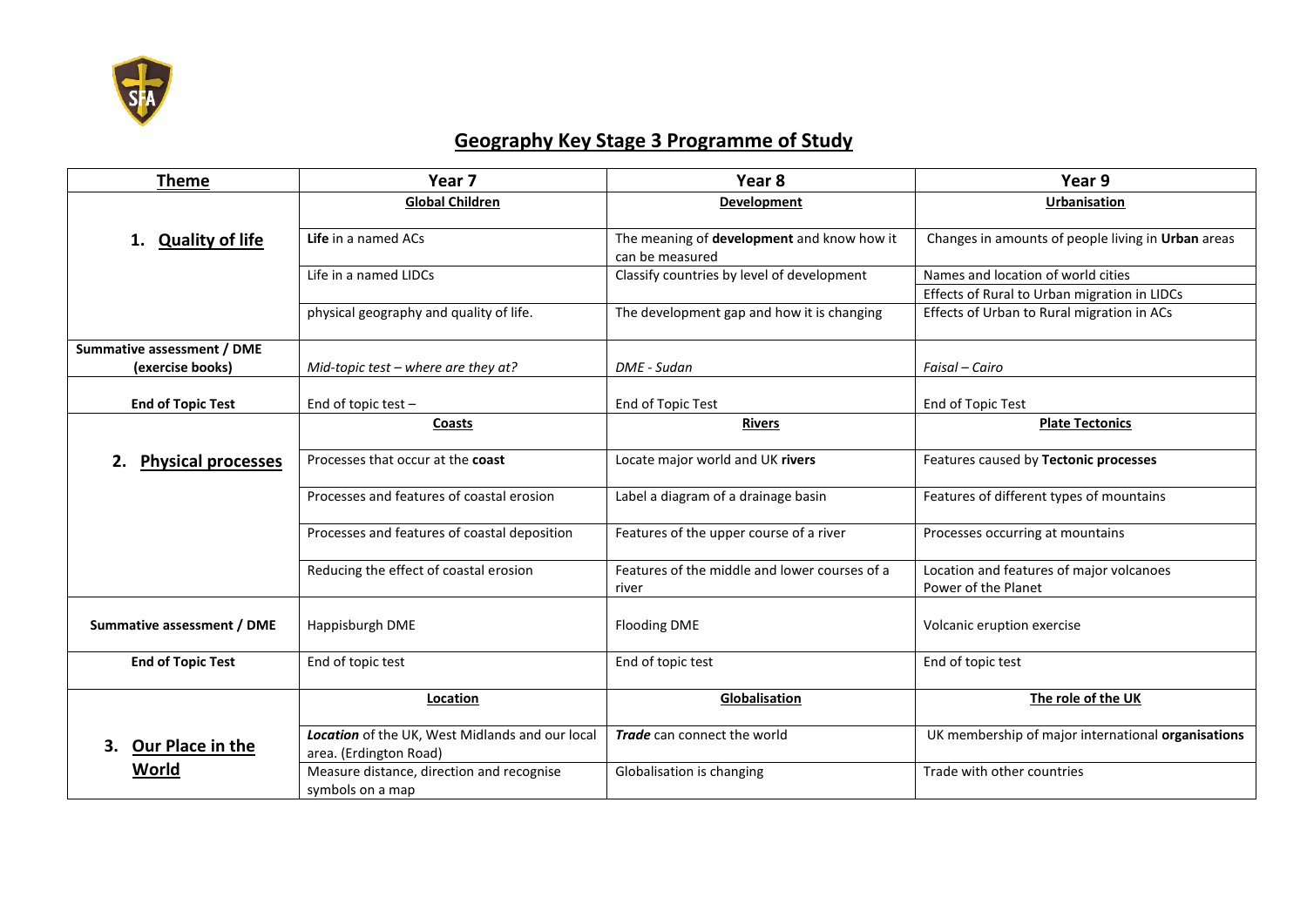

## **Geography Key Stage 3 Programme of Study**

| <b>Theme</b>                                   | Year <sub>7</sub>                                                         | Year <sub>8</sub>                                             | Year 9                                                          |
|------------------------------------------------|---------------------------------------------------------------------------|---------------------------------------------------------------|-----------------------------------------------------------------|
|                                                | <b>Global Children</b>                                                    | <b>Development</b>                                            | <b>Urbanisation</b>                                             |
| <b>Quality of life</b><br>1.                   | Life in a named ACs                                                       | The meaning of development and know how it<br>can be measured | Changes in amounts of people living in Urban areas              |
|                                                | Life in a named LIDCs                                                     | Classify countries by level of development                    | Names and location of world cities                              |
|                                                |                                                                           |                                                               | Effects of Rural to Urban migration in LIDCs                    |
|                                                | physical geography and quality of life.                                   | The development gap and how it is changing                    | Effects of Urban to Rural migration in ACs                      |
| Summative assessment / DME<br>(exercise books) | Mid-topic test - where are they at?                                       | DME - Sudan                                                   | Faisal - Cairo                                                  |
| <b>End of Topic Test</b>                       | End of topic test $-$                                                     | End of Topic Test                                             | End of Topic Test                                               |
|                                                | Coasts                                                                    | <b>Rivers</b>                                                 | <b>Plate Tectonics</b>                                          |
| 2.<br><b>Physical processes</b>                | Processes that occur at the coast                                         | Locate major world and UK rivers                              | Features caused by Tectonic processes                           |
|                                                | Processes and features of coastal erosion                                 | Label a diagram of a drainage basin                           | Features of different types of mountains                        |
|                                                | Processes and features of coastal deposition                              | Features of the upper course of a river                       | Processes occurring at mountains                                |
|                                                | Reducing the effect of coastal erosion                                    | Features of the middle and lower courses of a<br>river        | Location and features of major volcanoes<br>Power of the Planet |
| Summative assessment / DME                     | Happisburgh DME                                                           | <b>Flooding DME</b>                                           | Volcanic eruption exercise                                      |
| <b>End of Topic Test</b>                       | End of topic test                                                         | End of topic test                                             | End of topic test                                               |
|                                                | Location                                                                  | Globalisation                                                 | The role of the UK                                              |
| Our Place in the<br>3.                         | Location of the UK, West Midlands and our local<br>area. (Erdington Road) | Trade can connect the world                                   | UK membership of major international organisations              |
| <b>World</b>                                   | Measure distance, direction and recognise<br>symbols on a map             | Globalisation is changing                                     | Trade with other countries                                      |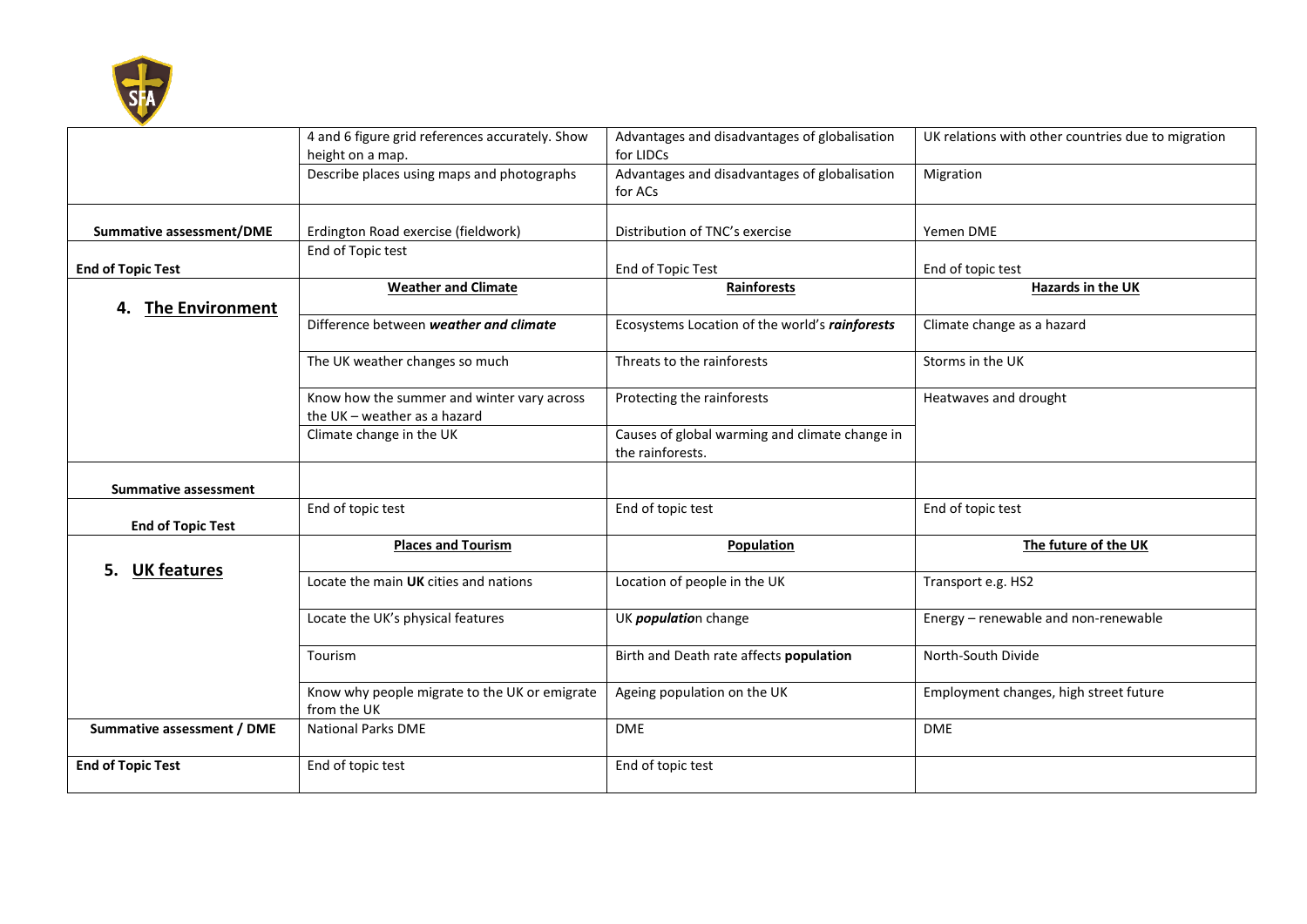

|                              | 4 and 6 figure grid references accurately. Show<br>height on a map.        | Advantages and disadvantages of globalisation<br>for LIDCs         | UK relations with other countries due to migration |
|------------------------------|----------------------------------------------------------------------------|--------------------------------------------------------------------|----------------------------------------------------|
|                              | Describe places using maps and photographs                                 | Advantages and disadvantages of globalisation<br>for ACs           | Migration                                          |
| Summative assessment/DME     | Erdington Road exercise (fieldwork)                                        | Distribution of TNC's exercise                                     | Yemen DME                                          |
| <b>End of Topic Test</b>     | End of Topic test                                                          | End of Topic Test                                                  | End of topic test                                  |
| <b>The Environment</b><br>4. | <b>Weather and Climate</b>                                                 | Rainforests                                                        | Hazards in the UK                                  |
|                              | Difference between weather and climate                                     | Ecosystems Location of the world's rainforests                     | Climate change as a hazard                         |
|                              | The UK weather changes so much                                             | Threats to the rainforests                                         | Storms in the UK                                   |
|                              | Know how the summer and winter vary across<br>the UK - weather as a hazard | Protecting the rainforests                                         | Heatwaves and drought                              |
|                              | Climate change in the UK                                                   | Causes of global warming and climate change in<br>the rainforests. |                                                    |
| <b>Summative assessment</b>  |                                                                            |                                                                    |                                                    |
| <b>End of Topic Test</b>     | End of topic test                                                          | End of topic test                                                  | End of topic test                                  |
|                              | <b>Places and Tourism</b>                                                  | Population                                                         | The future of the UK                               |
| <b>UK features</b>           | Locate the main UK cities and nations                                      | Location of people in the UK                                       | Transport e.g. HS2                                 |
|                              | Locate the UK's physical features                                          | UK <i>population</i> change                                        | Energy - renewable and non-renewable               |
|                              | Tourism                                                                    | Birth and Death rate affects population                            | North-South Divide                                 |
|                              | Know why people migrate to the UK or emigrate<br>from the UK               | Ageing population on the UK                                        | Employment changes, high street future             |
| Summative assessment / DME   | <b>National Parks DME</b>                                                  | <b>DME</b>                                                         | <b>DME</b>                                         |
| <b>End of Topic Test</b>     | End of topic test                                                          | End of topic test                                                  |                                                    |